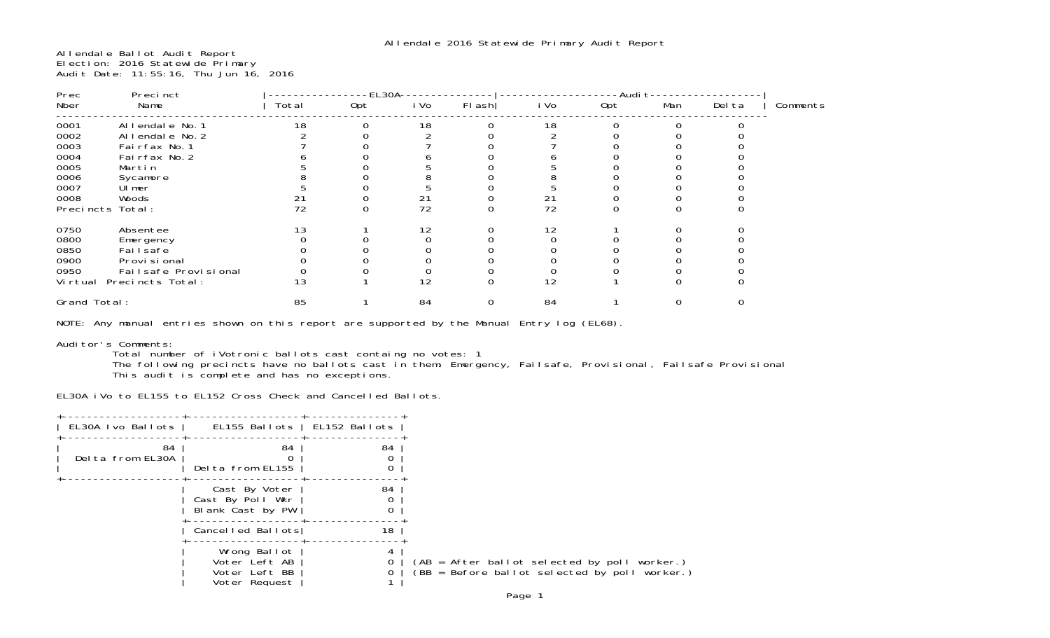Allendale Ballot Audit Report Election: 2016 Statewide Primary Audit Date: 11:55:16, Thu Jun 16, 2016

| Prec             | Precinct                | $-EL30A$ |     |      |       | -Audit- |     |     |        |          |
|------------------|-------------------------|----------|-----|------|-------|---------|-----|-----|--------|----------|
| Nber             | Name                    | Total    | Opt | i Vo | Flash | i Vo    | Opt | Man | Del ta | Comments |
| 0001             | Allendale No. 1         | 18       |     | 18   |       | 18      |     |     |        |          |
| 0002             | Allendale No. 2         |          |     |      |       |         |     |     |        |          |
| 0003             | Fairfax No. 1           |          |     |      |       |         |     |     |        |          |
| 0004             | Fairfax No. 2           |          |     |      |       |         |     |     |        |          |
| 0005             | Martin                  |          |     |      |       |         |     |     |        |          |
| 0006             | Sycamore                |          |     |      |       |         |     |     |        |          |
| 0007             | Ul mer                  |          |     |      |       |         |     |     |        |          |
| 0008             | Woods                   |          |     | 21   |       | 21      |     |     |        |          |
| Precincts Total: |                         | 72       |     | 72   |       | 72      |     |     |        |          |
| 0750             | Absentee                | 13       |     | 12   |       | 12      |     |     |        |          |
| 0800             | Emergency               |          |     |      |       |         |     |     |        |          |
| 0850             | Fai I safe              |          |     |      |       |         |     |     |        |          |
| 0900             | Provi si onal           |          |     |      |       |         |     |     |        |          |
| 0950             | Fail safe Provi si onal |          |     |      |       |         |     |     |        |          |
| Vi rtual         | Precincts Total:        | 13       |     | 12   |       | 12      |     |     |        |          |
| Grand Total:     |                         | 85       |     | 84   | O     | 84      |     |     |        |          |

NOTE: Any manual entries shown on this report are supported by the Manual Entry log (EL68).

Auditor's Comments: Total number of iVotronic ballots cast containg no votes: 1

 The following precincts have no ballots cast in them: Emergency, Failsafe, Provisional, Failsafe Provisional This audit is complete and has no exceptions.

EL30A iVo to EL155 to EL152 Cross Check and Cancelled Ballots.

| EL30A Ivo Ballots      | EL155 Ballots   EL152 Ballots                                   |    |
|------------------------|-----------------------------------------------------------------|----|
| 84<br>Delta from EL30A | 84<br>Delta from EL155                                          | 84 |
|                        | Cast By Voter<br>Cast By Poll Wkr<br>Blank Cast by PW           | 84 |
|                        | Cancelled Ballots                                               | 18 |
|                        | Wrong Ballot<br>Voter Left AB<br>Voter Left BB<br>Voter Request |    |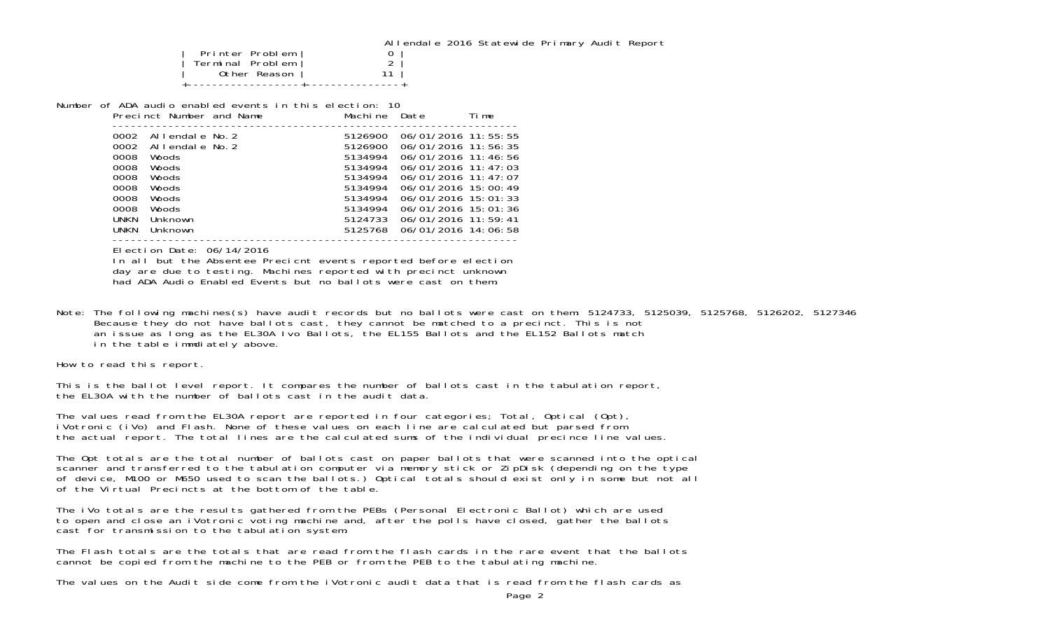Allendale 2016 Statewide Primary Audit Report

|                  | <b>ALLA</b> |
|------------------|-------------|
| Printer Problem  |             |
| Terminal Problem |             |
| Other Reason     |             |
|                  |             |

Number of ADA audio enabled events in this election: 10 $Mochino$   $Dote$ Precinct Number and Name Machine Date Time

|             | FLCCLICL NUMBEL AND NAME |  |         | MACILIC DALE            | - 11 III <del>c</del> |
|-------------|--------------------------|--|---------|-------------------------|-----------------------|
| 0002        | Allendale No.2           |  | 5126900 | 06/01/2016 11:55:55     |                       |
| 0002        | Allendale No.2           |  | 5126900 | 06/01/2016 11:56:35     |                       |
| 0008        | Woods                    |  | 5134994 | 06/01/2016 11:46:56     |                       |
| 0008        | Woods                    |  | 5134994 | $06/01/2016$ 11: 47: 03 |                       |
| 0008        | Woods                    |  | 5134994 | 06/01/2016 11:47:07     |                       |
| 0008        | Woods                    |  | 5134994 | 06/01/2016 15:00:49     |                       |
| 0008        | Woods                    |  | 5134994 | $06/01/2016$ 15: 01: 33 |                       |
| 0008        | Woods                    |  | 5134994 | $06/01/2016$ 15: 01: 36 |                       |
| <b>UNKN</b> | Unknown                  |  | 5124733 | 06/01/2016 11:59:41     |                       |
| <b>UNKN</b> | Unknown                  |  | 5125768 | 06/01/2016 14:06:58     |                       |
|             |                          |  |         |                         |                       |

Election Date: 06/14/2016

 In all but the Absentee Precicnt events reported before election day are due to testing. Machines reported with precinct unknown had ADA Audio Enabled Events but no ballots were cast on them.

Note: The following machines(s) have audit records but no ballots were cast on them: 5124733, 5125039, 5125768, 5126202, 5127346 Because they do not have ballots cast, they cannot be matched to a precinct. This is not an issue as long as the EL30A Ivo Ballots, the EL155 Ballots and the EL152 Ballots match in the table immdiately above.

How to read this report.

This is the ballot level report. It compares the number of ballots cast in the tabulation report, the EL30A with the number of ballots cast in the audit data.

The values read from the EL30A report are reported in four categories; Total, Optical (Opt), iVotronic (iVo) and Flash. None of these values on each line are calculated but parsed from the actual report. The total lines are the calculated sums of the individual precince line values.

The Opt totals are the total number of ballots cast on paper ballots that were scanned into the optical scanner and transferred to the tabulation computer via memory stick or ZipDisk (depending on the type of device, M100 or M650 used to scan the ballots.) Optical totals should exist only in some but not all of the Virtual Precincts at the bottom of the table.

The iVo totals are the results gathered from the PEBs (Personal Electronic Ballot) which are used to open and close an iVotronic voting machine and, after the polls have closed, gather the ballots cast for transmission to the tabulation system.

The Flash totals are the totals that are read from the flash cards in the rare event that the ballotscannot be copied from the machine to the PEB or from the PEB to the tabulating machine.

The values on the Audit side come from the iVotronic audit data that is read from the flash cards as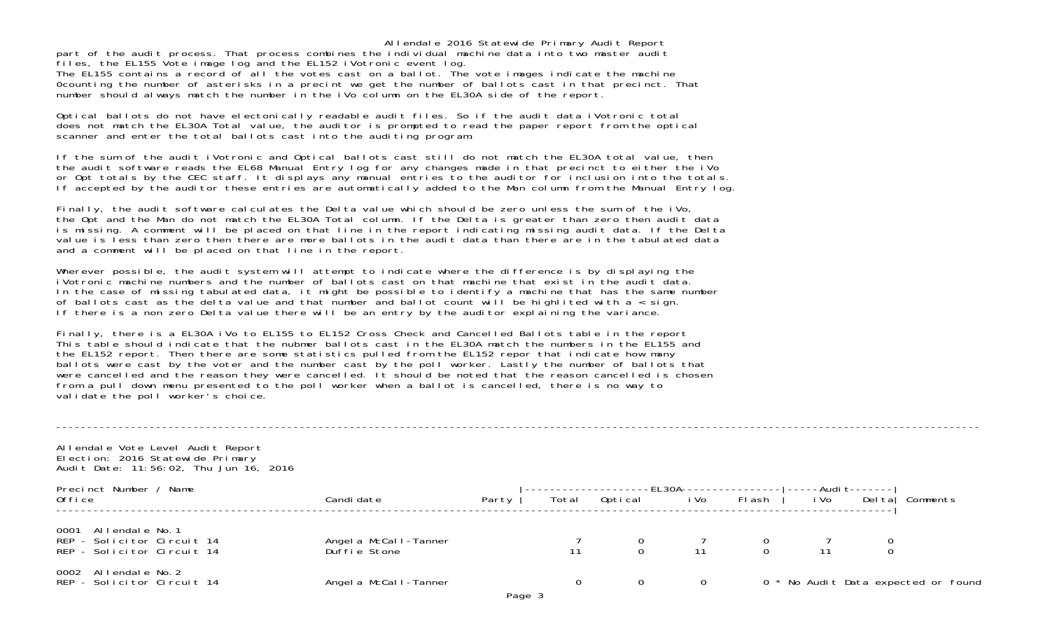Allendale 2016 Statewide Primary Audit Report part of the audit process. That process combines the individual machine data into two master audit files, the EL155 Vote image log and the EL152 iVotronic event log.

The EL155 contains a record of all the votes cast on a ballot. The vote images indicate the machine 0counting the number of asterisks in a precint we get the number of ballots cast in that precinct. That number should always match the number in the iVo column on the EL30A side of the report.

Optical ballots do not have electonically readable audit files. So if the audit data iVotronic total does not match the EL30A Total value, the auditor is prompted to read the paper report from the optical scanner and enter the total ballots cast into the auditing program.

If the sum of the audit iVotronic and Optical ballots cast still do not match the EL30A total value, then the audit software reads the EL68 Manual Entry log for any changes made in that precinct to either the iVo or Opt totals by the CEC staff. It displays any manual entries to the auditor for inclusion into the totals. If accepted by the auditor these entries are automatically added to the Man column from the Manual Entry log.

Finally, the audit software calculates the Delta value which should be zero unless the sum of the iVo, the Opt and the Man do not match the EL30A Total column. If the Delta is greater than zero then audit data is missing. A comment will be placed on that line in the report indicating missing audit data. If the Delta value is less than zero then there are more ballots in the audit data than there are in the tabulated data and a comment will be placed on that line in the report.

Wherever possible, the audit system will attempt to indicate where the difference is by displaying the iVotronic machine numbers and the number of ballots cast on that machine that exist in the audit data. In the case of missing tabulated data, it might be possible to identify a machine that has the same number of ballots cast as the delta value and that number and ballot count will be highlited with a < sign. If there is a non zero Delta value there will be an entry by the auditor explaining the variance.

Finally, there is a EL30A iVo to EL155 to EL152 Cross Check and Cancelled Ballots table in the report This table should indicate that the nubmer ballots cast in the EL30A match the numbers in the EL155 and the EL152 report. Then there are some statistics pulled from the EL152 repor that indicate how many ballots were cast by the voter and the number cast by the poll worker. Lastly the number of ballots that were cancelled and the reason they were cancelled. It should be noted that the reason cancelled is chosen from a pull down menu presented to the poll worker when a ballot is cancelled, there is no way to validate the poll worker's choice.

Allendale Vote Level Audit Report Election: 2016 Statewide Primary Audit Date: 11:56:02, Thu Jun 16, 2016

| Precinct Number,<br>Name<br>0ffi ce                                              | Candi date                            | Party | Total | Optical | i Vo | -EL30A---------------- ----Audi t-------'<br>FI ash | i Vo | Del tal | Comments                            |
|----------------------------------------------------------------------------------|---------------------------------------|-------|-------|---------|------|-----------------------------------------------------|------|---------|-------------------------------------|
| 0001 Allendale No. 1<br>REP - Solicitor Circuit 14<br>REP - Solicitor Circuit 14 | Angel a McCall-Tanner<br>Duffie Stone |       |       |         |      |                                                     | 11   |         |                                     |
| 0002 Allendale No. 2<br>REP - Solicitor Circuit 14                               | Angel a McCall-Tanner                 |       |       |         |      |                                                     |      |         | 0 * No Audit Data expected or found |

----------------------------------------------------------------------------------------------------------------------------------------------------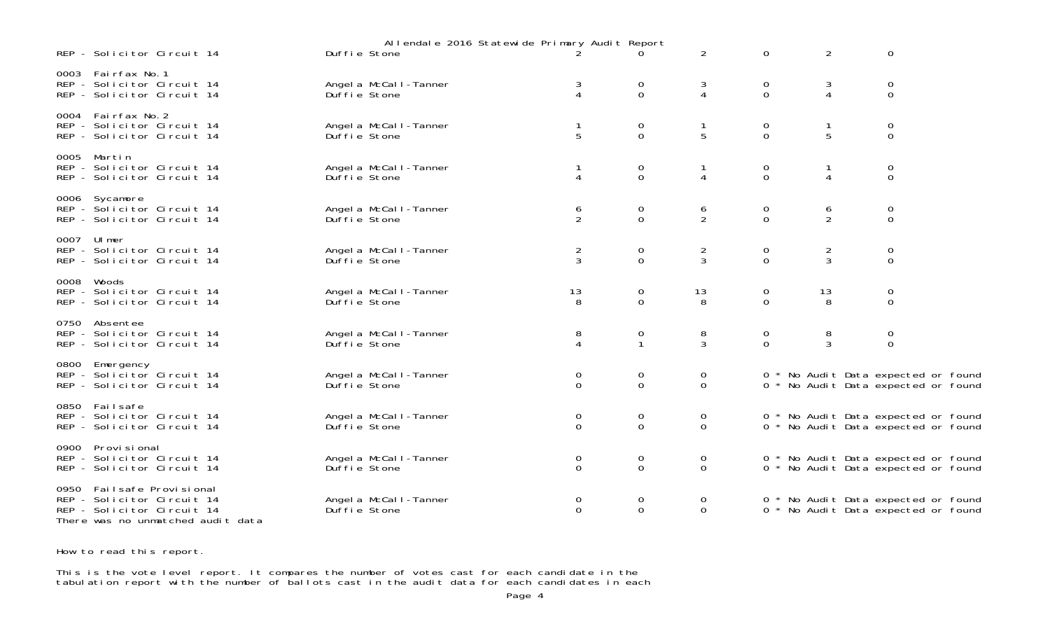| Duffie Stone                                                                                                                                                                                                                                                                                                                                                                                                                                                                                                                                                                                                                                                                                                                                                                     |              |                                                                                                                                                                                                                                                                                            | 0<br>$\overline{0}$                                                                                                                                                                               | 3<br>4                                        | 0<br>$\mathbf 0$    | 3<br>4                           | 0<br>$\Omega$              |                                                                                                                                                                                                                                                                                                                           |
|----------------------------------------------------------------------------------------------------------------------------------------------------------------------------------------------------------------------------------------------------------------------------------------------------------------------------------------------------------------------------------------------------------------------------------------------------------------------------------------------------------------------------------------------------------------------------------------------------------------------------------------------------------------------------------------------------------------------------------------------------------------------------------|--------------|--------------------------------------------------------------------------------------------------------------------------------------------------------------------------------------------------------------------------------------------------------------------------------------------|---------------------------------------------------------------------------------------------------------------------------------------------------------------------------------------------------|-----------------------------------------------|---------------------|----------------------------------|----------------------------|---------------------------------------------------------------------------------------------------------------------------------------------------------------------------------------------------------------------------------------------------------------------------------------------------------------------------|
| Duffie Stone                                                                                                                                                                                                                                                                                                                                                                                                                                                                                                                                                                                                                                                                                                                                                                     |              |                                                                                                                                                                                                                                                                                            | 0<br>$\Omega$                                                                                                                                                                                     | -1<br>5                                       | 0<br>$\Omega$       | 5                                | 0<br>$\Omega$              |                                                                                                                                                                                                                                                                                                                           |
| Duffie Stone                                                                                                                                                                                                                                                                                                                                                                                                                                                                                                                                                                                                                                                                                                                                                                     |              |                                                                                                                                                                                                                                                                                            | 0<br>$\mathbf 0$                                                                                                                                                                                  | -1<br>4                                       | 0<br>$\Omega$       | 1<br>4                           | 0<br>0                     |                                                                                                                                                                                                                                                                                                                           |
| Duffie Stone                                                                                                                                                                                                                                                                                                                                                                                                                                                                                                                                                                                                                                                                                                                                                                     |              |                                                                                                                                                                                                                                                                                            | 0<br>$\mathbf 0$                                                                                                                                                                                  | 6<br>$\overline{2}$                           | 0<br>$\mathbf 0$    | 6<br>$\overline{2}$              | $\mathbf 0$<br>$\mathbf 0$ |                                                                                                                                                                                                                                                                                                                           |
| Duffie Stone                                                                                                                                                                                                                                                                                                                                                                                                                                                                                                                                                                                                                                                                                                                                                                     |              |                                                                                                                                                                                                                                                                                            | $\mathbf 0$<br>$\mathbf 0$                                                                                                                                                                        | $\overline{2}$<br>$\mathbf{3}$                | 0<br>$\mathbf 0$    | $\overline{2}$<br>$\mathfrak{Z}$ | 0<br>$\Omega$              |                                                                                                                                                                                                                                                                                                                           |
| Duffie Stone                                                                                                                                                                                                                                                                                                                                                                                                                                                                                                                                                                                                                                                                                                                                                                     |              |                                                                                                                                                                                                                                                                                            | 0<br>$\overline{0}$                                                                                                                                                                               | 13<br>8                                       | 0<br>$\Omega$       | 13<br>8                          | 0<br>$\mathbf 0$           |                                                                                                                                                                                                                                                                                                                           |
| Duffie Stone                                                                                                                                                                                                                                                                                                                                                                                                                                                                                                                                                                                                                                                                                                                                                                     |              |                                                                                                                                                                                                                                                                                            | $\mathbf 0$<br>$\mathbf{1}$                                                                                                                                                                       | 8<br>$\mathbf{3}$                             | 0<br>$\overline{0}$ | 8<br>3                           | 0<br>$\mathbf{O}$          |                                                                                                                                                                                                                                                                                                                           |
| Duffie Stone                                                                                                                                                                                                                                                                                                                                                                                                                                                                                                                                                                                                                                                                                                                                                                     |              |                                                                                                                                                                                                                                                                                            | $\mathbf 0$<br>$\Omega$                                                                                                                                                                           | $\mathbf 0$<br>$\Omega$                       |                     |                                  |                            |                                                                                                                                                                                                                                                                                                                           |
| Duffie Stone                                                                                                                                                                                                                                                                                                                                                                                                                                                                                                                                                                                                                                                                                                                                                                     |              |                                                                                                                                                                                                                                                                                            | 0<br>$\mathbf 0$                                                                                                                                                                                  | $\mathbf 0$<br>$\mathbf 0$                    |                     |                                  |                            |                                                                                                                                                                                                                                                                                                                           |
| Duffie Stone                                                                                                                                                                                                                                                                                                                                                                                                                                                                                                                                                                                                                                                                                                                                                                     |              |                                                                                                                                                                                                                                                                                            | $\mathbf 0$<br>$\mathbf 0$                                                                                                                                                                        | $\mathbf 0$<br>$\mathbf 0$                    |                     |                                  |                            |                                                                                                                                                                                                                                                                                                                           |
| Duffie Stone                                                                                                                                                                                                                                                                                                                                                                                                                                                                                                                                                                                                                                                                                                                                                                     |              |                                                                                                                                                                                                                                                                                            | $\mathbf 0$<br>$\overline{0}$                                                                                                                                                                     | $\mathbf 0$<br>$\overline{0}$                 |                     |                                  |                            |                                                                                                                                                                                                                                                                                                                           |
| REP - Solicitor Circuit 14<br>REP - Solicitor Circuit 14<br>REP - Solicitor Circuit 14<br>REP - Solicitor Circuit 14<br>REP - Solicitor Circuit 14<br>REP - Solicitor Circuit 14<br>REP - Solicitor Circuit 14<br>REP - Solicitor Circuit 14<br>REP - Solicitor Circuit 14<br>REP - Solicitor Circuit 14<br>REP - Solicitor Circuit 14<br>REP - Solicitor Circuit 14<br>REP - Solicitor Circuit 14<br>REP - Solicitor Circuit 14<br>REP - Solicitor Circuit 14<br>REP - Solicitor Circuit 14<br>REP - Solicitor Circuit 14<br>REP - Solicitor Circuit 14<br>REP - Solicitor Circuit 14<br>REP - Solicitor Circuit 14<br>REP - Solicitor Circuit 14<br>0950 Failsafe Provisional<br>REP - Solicitor Circuit 14<br>REP - Solicitor Circuit 14<br>There was no unmatched audit data | Duffie Stone | Angel a McCal I-Tanner<br>Angel a McCal I-Tanner<br>Angel a McCal I-Tanner<br>Angel a McCal I-Tanner<br>Angel a McCal I-Tanner<br>Angel a McCal I-Tanner<br>Angel a McCal I-Tanner<br>Angel a McCal I-Tanner<br>Angel a McCal I-Tanner<br>Angel a McCal I-Tanner<br>Angel a McCal I-Tanner | 3<br>$\overline{4}$<br>5<br>1<br>4<br>6<br>$\overline{2}$<br>$\overline{2}$<br>$\mathbf{3}$<br>13<br>8<br>8<br>4<br>$\mathbf 0$<br>$\Omega$<br>0<br>$\Omega$<br>0<br>$\Omega$<br>0<br>$\mathbf 0$ | Allendale 2016 Statewide Primary Audit Report | $\overline{2}$      | $\mathbf 0$                      | $\overline{2}$             | 0<br>0 * No Audit Data expected or found<br>0 * No Audit Data expected or found<br>0 * No Audit Data expected or found<br>0 * No Audit Data expected or found<br>0 * No Audit Data expected or found<br>0 * No Audit Data expected or found<br>0 * No Audit Data expected or found<br>0 * No Audit Data expected or found |

How to read this report.

This is the vote level report. It compares the number of votes cast for each candidate in the tabulation report with the number of ballots cast in the audit data for each candidates in each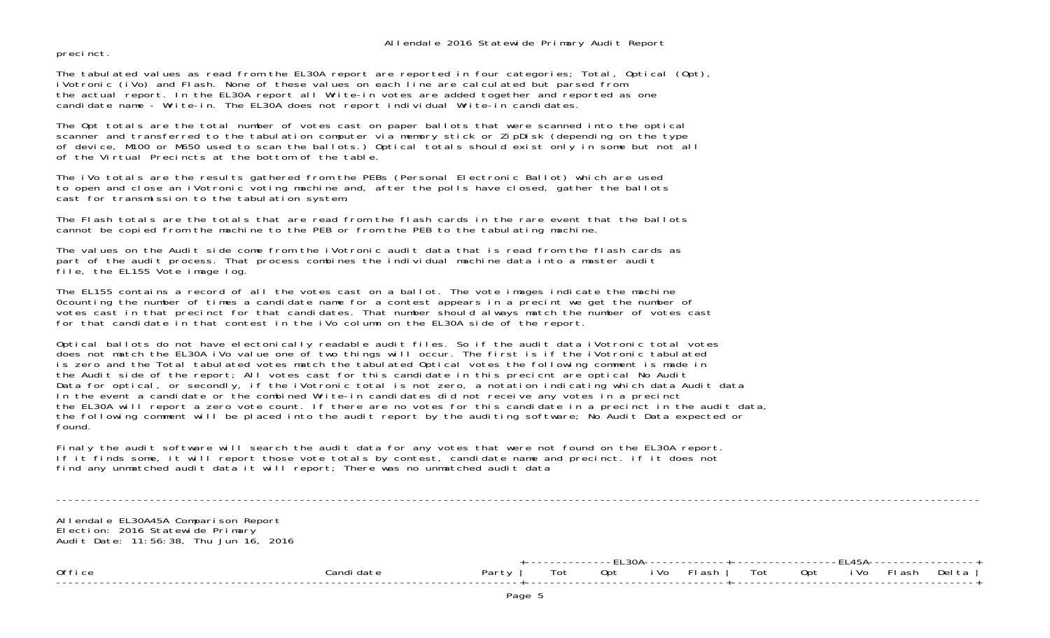precinct.

The tabulated values as read from the EL30A report are reported in four categories; Total, Optical (Opt), iVotronic (iVo) and Flash. None of these values on each line are calculated but parsed from the actual report. In the EL30A report all Write-in votes are added together and reported as one candidate name - Write-in. The EL30A does not report individual Write-in candidates.

The Opt totals are the total number of votes cast on paper ballots that were scanned into the optical scanner and transferred to the tabulation computer via memory stick or ZipDisk (depending on the type of device, M100 or M650 used to scan the ballots.) Optical totals should exist only in some but not all of the Virtual Precincts at the bottom of the table.

The iVo totals are the results gathered from the PEBs (Personal Electronic Ballot) which are used to open and close an iVotronic voting machine and, after the polls have closed, gather the ballots cast for transmission to the tabulation system.

The Flash totals are the totals that are read from the flash cards in the rare event that the ballotscannot be copied from the machine to the PEB or from the PEB to the tabulating machine.

The values on the Audit side come from the iVotronic audit data that is read from the flash cards as part of the audit process. That process combines the individual machine data into a master audit file, the EL155 Vote image log.

The EL155 contains a record of all the votes cast on a ballot. The vote images indicate the machine 0counting the number of times a candidate name for a contest appears in a precint we get the number of votes cast in that precinct for that candidates. That number should always match the number of votes cast for that candidate in that contest in the iVo column on the EL30A side of the report.

Optical ballots do not have electonically readable audit files. So if the audit data iVotronic total votes does not match the EL30A iVo value one of two things will occur. The first is if the iVotronic tabulated is zero and the Total tabulated votes match the tabulated Optical votes the following comment is made in the Audit side of the report; All votes cast for this candidate in this precicnt are optical No Audit Data for optical, or secondly, if the iVotronic total is not zero, a notation indicating which data Audit data In the event a candidate or the combined Write-in candidates did not receive any votes in a precinct the EL30A will report a zero vote count. If there are no votes for this candidate in a precinct in the audit data, the following comment will be placed into the audit report by the auditing software; No Audit Data expected or found.

Finaly the audit software will search the audit data for any votes that were not found on the EL30A report. If it finds some, it will report those vote totals by contest, candidate name and precinct. if it does not find any unmatched audit data it will report; There was no unmatched audit data

Allendale EL30A45A Comparison Report Election: 2016 Statewide Primary Audit Date: 11:56:38, Thu Jun 16, 2016

|        |       |     | <b>FI 205</b> |      |          |     |     | -. .-<br>-145- |         |        |  |
|--------|-------|-----|---------------|------|----------|-----|-----|----------------|---------|--------|--|
| Office | Party | ⊺ot | ᄂᄂ୰<br>0pt    | ' Vo | - Fl ash | Tot | Opt | ᄂᄂ᠇୰<br>' Vo   | rl ashl | Del ta |  |
|        |       |     |               |      |          |     |     |                |         |        |  |

----------------------------------------------------------------------------------------------------------------------------------------------------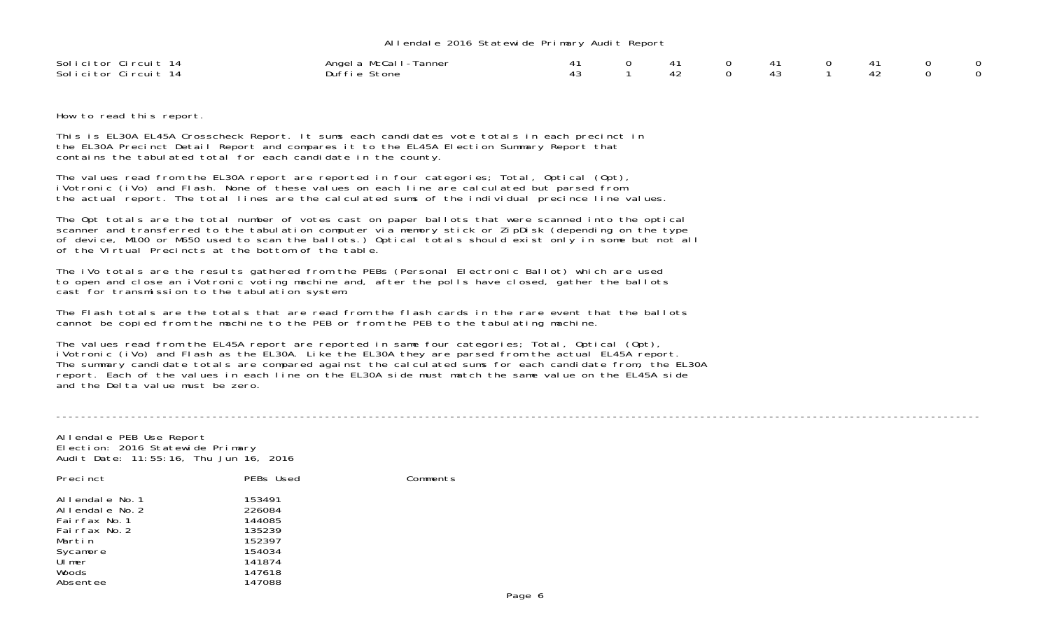## Allendale 2016 Statewide Primary Audit Report

| Solicitor Circuit 14 | Angel a McCall-Tanner |  |  |  |  | - റ |
|----------------------|-----------------------|--|--|--|--|-----|
| Solicitor Circuit 14 | Duffie Stone          |  |  |  |  | _റ  |

How to read this report.

This is EL30A EL45A Crosscheck Report. It sums each candidates vote totals in each precinct in the EL30A Precinct Detail Report and compares it to the EL45A Election Summary Report that contains the tabulated total for each candidate in the county.

The values read from the EL30A report are reported in four categories; Total, Optical (Opt), iVotronic (iVo) and Flash. None of these values on each line are calculated but parsed from the actual report. The total lines are the calculated sums of the individual precince line values.

The Opt totals are the total number of votes cast on paper ballots that were scanned into the optical scanner and transferred to the tabulation computer via memory stick or ZipDisk (depending on the type of device, M100 or M650 used to scan the ballots.) Optical totals should exist only in some but not all of the Virtual Precincts at the bottom of the table.

The iVo totals are the results gathered from the PEBs (Personal Electronic Ballot) which are used to open and close an iVotronic voting machine and, after the polls have closed, gather the ballots cast for transmission to the tabulation system.

The Flash totals are the totals that are read from the flash cards in the rare event that the ballotscannot be copied from the machine to the PEB or from the PEB to the tabulating machine.

The values read from the EL45A report are reported in same four categories; Total, Optical (Opt), iVotronic (iVo) and Flash as the EL30A. Like the EL30A they are parsed from the actual EL45A report. The summary candidate totals are compared against the calculated sums for each candidate from, the EL30A report. Each of the values in each line on the EL30A side must match the same value on the EL45A side and the Delta value must be zero.

Allendale PEB Use Report Election: 2016 Statewide Primary Audit Date: 11:55:16, Thu Jun 16, 2016

| Precinct                                                                    | PEBs Used                                      | Comments |
|-----------------------------------------------------------------------------|------------------------------------------------|----------|
| Allendale No.1<br>Allendale No. 2<br>Fairfax No.1<br>Fairfax No.2<br>Martin | 153491<br>226084<br>144085<br>135239<br>152397 |          |
| Sycamore                                                                    | 154034                                         |          |
| Ulmer                                                                       | 141874                                         |          |
| Woods                                                                       | 147618                                         |          |
| Absentee                                                                    | 147088                                         |          |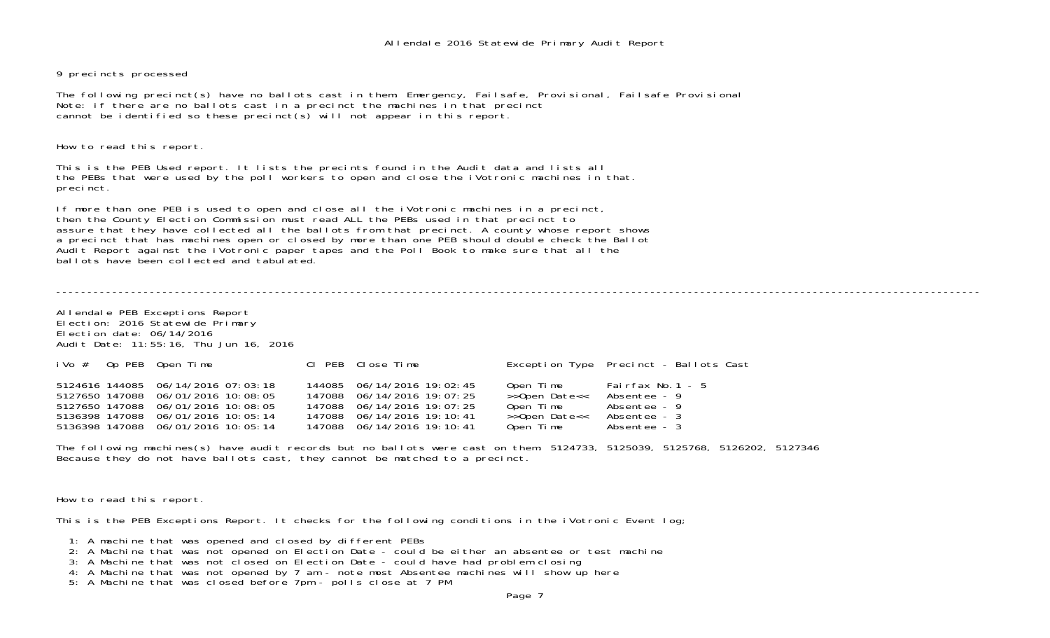## 9 precincts processed

The following precinct(s) have no ballots cast in them: Emergency, Failsafe, Provisional, Failsafe Provisional Note: if there are no ballots cast in a precinct the machines in that precinct cannot be identified so these precinct(s) will not appear in this report.

How to read this report.

This is the PEB Used report. It lists the precints found in the Audit data and lists all the PEBs that were used by the poll workers to open and close the iVotronic machines in that. precinct.

If more than one PEB is used to open and close all the iVotronic machines in a precinct, then the County Election Commission must read ALL the PEBs used in that precinct to assure that they have collected all the ballots from that precinct. A county whose report shows a precinct that has machines open or closed by more than one PEB should double check the Ballot Audit Report against the iVotronic paper tapes and the Poll Book to make sure that all the ballots have been collected and tabulated.

----------------------------------------------------------------------------------------------------------------------------------------------------

Allendale PEB Exceptions Report Election: 2016 Statewide Primary Election date: 06/14/2016Audit Date: 11:55:16, Thu Jun 16, 2016

|  | $i$ Vo $#$ Op PEB Open Time                                                                                                                                                                | CI PEB Close Time                                                                                                                                  |                                                                       | Exception Type Precinct - Ballots Cast                                             |
|--|--------------------------------------------------------------------------------------------------------------------------------------------------------------------------------------------|----------------------------------------------------------------------------------------------------------------------------------------------------|-----------------------------------------------------------------------|------------------------------------------------------------------------------------|
|  | 5124616 144085 06/14/2016 07:03:18<br>5127650 147088 06/01/2016 10:08:05<br>5127650 147088 06/01/2016 10:08:05<br>5136398 147088 06/01/2016 10:05:14<br>5136398 147088 06/01/2016 10:05:14 | 144085 06/14/2016 19:02:45<br>147088 06/14/2016 19:07:25<br>147088 06/14/2016 19:07:25<br>147088 06/14/2016 19:10:41<br>147088 06/14/2016 19:10:41 | Open Time<br>>>Open Date<<<br>Open Time<br>>>Open Date<<<br>Open Time | Fairfax No.1 - $5$<br>Absentee - 9<br>Absentee - 9<br>Absentee - 3<br>Absentee - 3 |

The following machines(s) have audit records but no ballots were cast on them: 5124733, 5125039, 5125768, 5126202, 5127346 Because they do not have ballots cast, they cannot be matched to a precinct.

How to read this report.

This is the PEB Exceptions Report. It checks for the following conditions in the iVotronic Event log;

- 1: A machine that was opened and closed by different PEBs
- 2: A Machine that was not opened on Election Date could be either an absentee or test machine
- 3: A Machine that was not closed on Election Date could have had problem closing
- 4: A Machine that was not opened by 7 am note most Absentee machines will show up here
- 5: A Machine that was closed before 7pm polls close at 7 PM